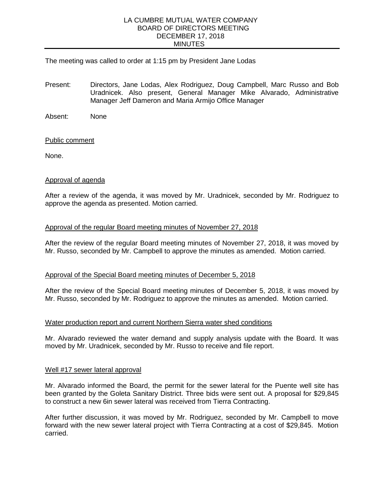### LA CUMBRE MUTUAL WATER COMPANY BOARD OF DIRECTORS MEETING DECEMBER 17, 2018 MINUTES

## The meeting was called to order at 1:15 pm by President Jane Lodas

- Present: Directors, Jane Lodas, Alex Rodriguez, Doug Campbell, Marc Russo and Bob Uradnicek. Also present, General Manager Mike Alvarado, Administrative Manager Jeff Dameron and Maria Armijo Office Manager
- Absent: None

#### Public comment

None.

#### Approval of agenda

After a review of the agenda, it was moved by Mr. Uradnicek, seconded by Mr. Rodriguez to approve the agenda as presented. Motion carried.

# Approval of the regular Board meeting minutes of November 27, 2018

After the review of the regular Board meeting minutes of November 27, 2018, it was moved by Mr. Russo, seconded by Mr. Campbell to approve the minutes as amended. Motion carried.

#### Approval of the Special Board meeting minutes of December 5, 2018

After the review of the Special Board meeting minutes of December 5, 2018, it was moved by Mr. Russo, seconded by Mr. Rodriguez to approve the minutes as amended. Motion carried.

#### Water production report and current Northern Sierra water shed conditions

Mr. Alvarado reviewed the water demand and supply analysis update with the Board. It was moved by Mr. Uradnicek, seconded by Mr. Russo to receive and file report.

#### Well #17 sewer lateral approval

Mr. Alvarado informed the Board, the permit for the sewer lateral for the Puente well site has been granted by the Goleta Sanitary District. Three bids were sent out. A proposal for \$29,845 to construct a new 6in sewer lateral was received from Tierra Contracting.

After further discussion, it was moved by Mr. Rodriguez, seconded by Mr. Campbell to move forward with the new sewer lateral project with Tierra Contracting at a cost of \$29,845. Motion carried.